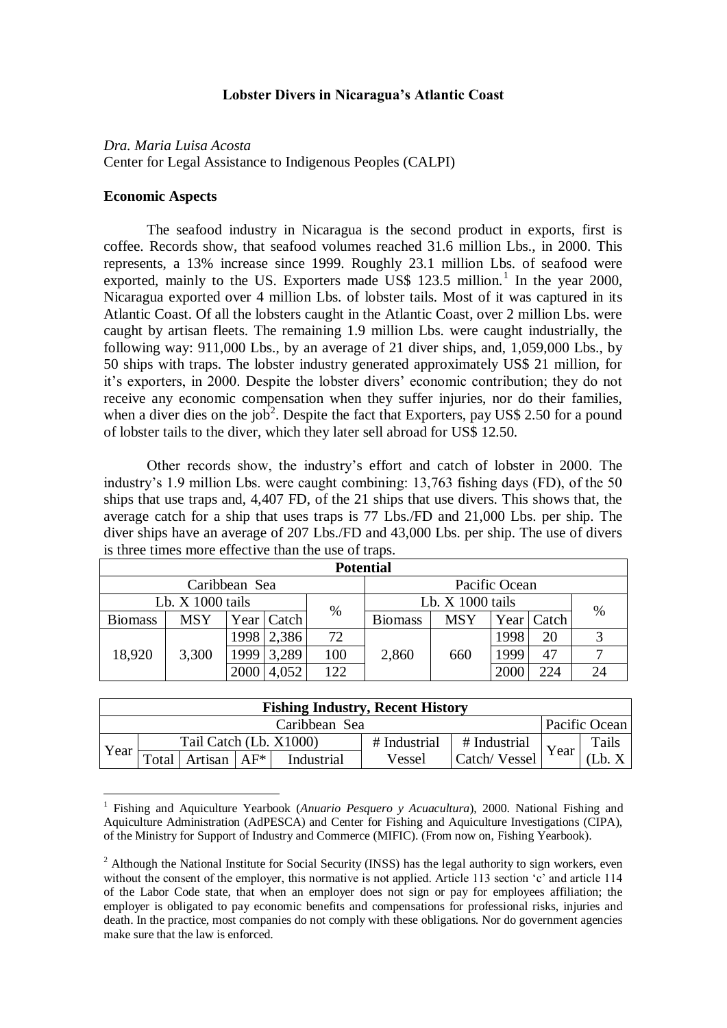# **Lobster Divers in Nicaragua's Atlantic Coast**

*Dra. Maria Luisa Acosta* Center for Legal Assistance to Indigenous Peoples (CALPI)

## **Economic Aspects**

 $\overline{a}$ 

The seafood industry in Nicaragua is the second product in exports, first is coffee. Records show, that seafood volumes reached 31.6 million Lbs., in 2000. This represents, a 13% increase since 1999. Roughly 23.1 million Lbs. of seafood were exported, mainly to the US. Exporters made US\$  $123.5$  million.<sup>1</sup> In the year 2000, Nicaragua exported over 4 million Lbs. of lobster tails. Most of it was captured in its Atlantic Coast. Of all the lobsters caught in the Atlantic Coast, over 2 million Lbs. were caught by artisan fleets. The remaining 1.9 million Lbs. were caught industrially, the following way: 911,000 Lbs., by an average of 21 diver ships, and, 1,059,000 Lbs., by 50 ships with traps. The lobster industry generated approximately US\$ 21 million, for it's exporters, in 2000. Despite the lobster divers' economic contribution; they do not receive any economic compensation when they suffer injuries, nor do their families, when a diver dies on the job<sup>2</sup>. Despite the fact that Exporters, pay US\$ 2.50 for a pound of lobster tails to the diver, which they later sell abroad for US\$ 12.50.

Other records show, the industry"s effort and catch of lobster in 2000. The industry"s 1.9 million Lbs. were caught combining: 13,763 fishing days (FD), of the 50 ships that use traps and, 4,407 FD, of the 21 ships that use divers. This shows that, the average catch for a ship that uses traps is 77 Lbs./FD and 21,000 Lbs. per ship. The diver ships have an average of 207 Lbs./FD and 43,000 Lbs. per ship. The use of divers is three times more effective than the use of traps.

| <b>Potential</b>   |               |      |               |                  |                    |            |      |       |      |  |
|--------------------|---------------|------|---------------|------------------|--------------------|------------|------|-------|------|--|
|                    | Caribbean Sea |      | Pacific Ocean |                  |                    |            |      |       |      |  |
| Lb. $X$ 1000 tails |               |      |               |                  | Lb. $X$ 1000 tails |            |      |       |      |  |
| <b>Biomass</b>     | <b>MSY</b>    |      | Year   Catch  | $\%$             | <b>Biomass</b>     | <b>MSY</b> | Year | Catch | $\%$ |  |
| 18,920             | 3,300         | 1998 | 2,386         | 72<br>100<br>122 | 2,860              | 660        | 1998 | 20    |      |  |
|                    |               | 1999 | 3,289         |                  |                    |            | 1999 | 47    | −    |  |
|                    |               | 2000 | 4,052         |                  |                    |            | 2000 | 224   | 24   |  |

| <b>Fishing Industry, Recent History</b> |               |                        |  |            |              |              |      |        |  |  |
|-----------------------------------------|---------------|------------------------|--|------------|--------------|--------------|------|--------|--|--|
|                                         | Pacific Ocean |                        |  |            |              |              |      |        |  |  |
| Year                                    |               | Tail Catch (Lb. X1000) |  |            | # Industrial | # Industrial | Year | Tails  |  |  |
|                                         | Total         | Artisan $AF^*$         |  | Industrial | Vessel       | Catch/Vessel |      | ′Lb. X |  |  |

<sup>&</sup>lt;sup>1</sup> Fishing and Aquiculture Yearbook (*Anuario Pesquero y Acuacultura*), 2000. National Fishing and Aquiculture Administration (AdPESCA) and Center for Fishing and Aquiculture Investigations (CIPA), of the Ministry for Support of Industry and Commerce (MIFIC). (From now on, Fishing Yearbook).

 $2$  Although the National Institute for Social Security (INSS) has the legal authority to sign workers, even without the consent of the employer, this normative is not applied. Article 113 section 'c' and article 114 of the Labor Code state, that when an employer does not sign or pay for employees affiliation; the employer is obligated to pay economic benefits and compensations for professional risks, injuries and death. In the practice, most companies do not comply with these obligations. Nor do government agencies make sure that the law is enforced.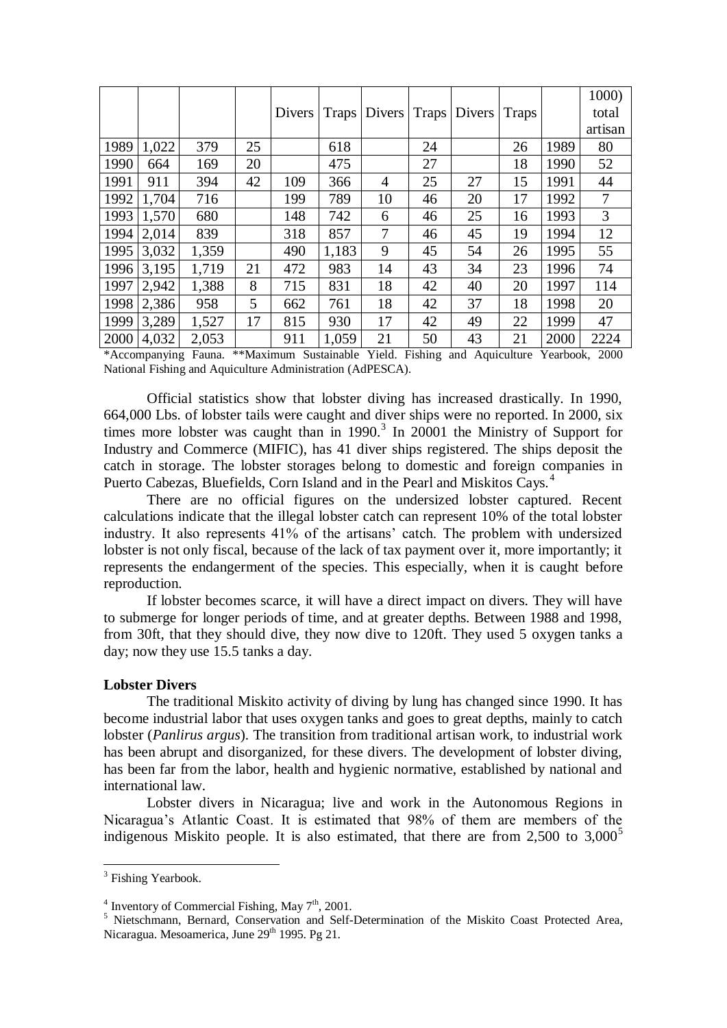|      |       |       |    |        |       |                                 |    |    |       |      | 1000)   |
|------|-------|-------|----|--------|-------|---------------------------------|----|----|-------|------|---------|
|      |       |       |    | Divers |       | Traps   Divers   Traps   Divers |    |    | Traps |      | total   |
|      |       |       |    |        |       |                                 |    |    |       |      | artisan |
| 1989 | 1,022 | 379   | 25 |        | 618   |                                 | 24 |    | 26    | 1989 | 80      |
| 1990 | 664   | 169   | 20 |        | 475   |                                 | 27 |    | 18    | 1990 | 52      |
| 1991 | 911   | 394   | 42 | 109    | 366   | 4                               | 25 | 27 | 15    | 1991 | 44      |
| 1992 | 1,704 | 716   |    | 199    | 789   | 10                              | 46 | 20 | 17    | 1992 | 7       |
| 1993 | 1,570 | 680   |    | 148    | 742   | 6                               | 46 | 25 | 16    | 1993 | 3       |
| 1994 | 2,014 | 839   |    | 318    | 857   | 7                               | 46 | 45 | 19    | 1994 | 12      |
| 1995 | 3,032 | 1,359 |    | 490    | 1,183 | 9                               | 45 | 54 | 26    | 1995 | 55      |
| 1996 | 3,195 | 1,719 | 21 | 472    | 983   | 14                              | 43 | 34 | 23    | 1996 | 74      |
| 1997 | 2,942 | 1,388 | 8  | 715    | 831   | 18                              | 42 | 40 | 20    | 1997 | 114     |
| 1998 | 2,386 | 958   | 5  | 662    | 761   | 18                              | 42 | 37 | 18    | 1998 | 20      |
| 1999 | 3,289 | 1,527 | 17 | 815    | 930   | 17                              | 42 | 49 | 22    | 1999 | 47      |
| 2000 | 4,032 | 2,053 |    | 911    | 1,059 | 21                              | 50 | 43 | 21    | 2000 | 2224    |

\*Accompanying Fauna. \*\*Maximum Sustainable Yield. Fishing and Aquiculture Yearbook, 2000 National Fishing and Aquiculture Administration (AdPESCA).

Official statistics show that lobster diving has increased drastically. In 1990, 664,000 Lbs. of lobster tails were caught and diver ships were no reported. In 2000, six times more lobster was caught than in  $1990.<sup>3</sup>$  In 20001 the Ministry of Support for Industry and Commerce (MIFIC), has 41 diver ships registered. The ships deposit the catch in storage. The lobster storages belong to domestic and foreign companies in Puerto Cabezas, Bluefields, Corn Island and in the Pearl and Miskitos Cays.<sup>4</sup>

There are no official figures on the undersized lobster captured. Recent calculations indicate that the illegal lobster catch can represent 10% of the total lobster industry. It also represents 41% of the artisans' catch. The problem with undersized lobster is not only fiscal, because of the lack of tax payment over it, more importantly; it represents the endangerment of the species. This especially, when it is caught before reproduction.

If lobster becomes scarce, it will have a direct impact on divers. They will have to submerge for longer periods of time, and at greater depths. Between 1988 and 1998, from 30ft, that they should dive, they now dive to 120ft. They used 5 oxygen tanks a day; now they use 15.5 tanks a day.

## **Lobster Divers**

The traditional Miskito activity of diving by lung has changed since 1990. It has become industrial labor that uses oxygen tanks and goes to great depths, mainly to catch lobster (*Panlirus argus*). The transition from traditional artisan work, to industrial work has been abrupt and disorganized, for these divers. The development of lobster diving, has been far from the labor, health and hygienic normative, established by national and international law.

Lobster divers in Nicaragua; live and work in the Autonomous Regions in Nicaragua"s Atlantic Coast. It is estimated that 98% of them are members of the indigenous Miskito people. It is also estimated, that there are from  $2,500$  to  $3,000^5$ 

 $\overline{a}$ 

<sup>&</sup>lt;sup>3</sup> Fishing Yearbook.

<sup>&</sup>lt;sup>4</sup> Inventory of Commercial Fishing, May  $7<sup>th</sup>$ , 2001.

<sup>&</sup>lt;sup>5</sup> Nietschmann, Bernard, Conservation and Self-Determination of the Miskito Coast Protected Area, Nicaragua. Mesoamerica, June 29<sup>th</sup> 1995. Pg 21.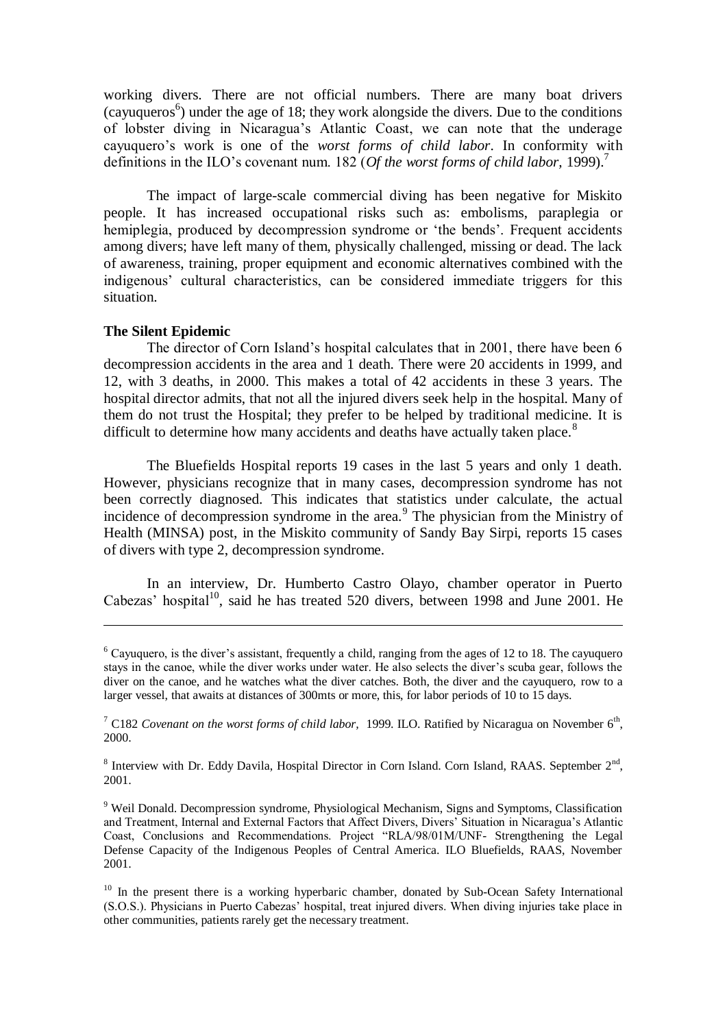working divers. There are not official numbers. There are many boat drivers  $(cayuqueros<sup>6</sup>)$  under the age of 18; they work alongside the divers. Due to the conditions of lobster diving in Nicaragua"s Atlantic Coast, we can note that the underage cayuquero"s work is one of the *worst forms of child labor*. In conformity with definitions in the ILO"s covenant num. 182 (*Of the worst forms of child labor,* 1999).<sup>7</sup>

The impact of large-scale commercial diving has been negative for Miskito people. It has increased occupational risks such as: embolisms, paraplegia or hemiplegia, produced by decompression syndrome or "the bends". Frequent accidents among divers; have left many of them, physically challenged, missing or dead. The lack of awareness, training, proper equipment and economic alternatives combined with the indigenous" cultural characteristics, can be considered immediate triggers for this situation.

# **The Silent Epidemic**

 $\overline{a}$ 

The director of Corn Island"s hospital calculates that in 2001, there have been 6 decompression accidents in the area and 1 death. There were 20 accidents in 1999, and 12, with 3 deaths, in 2000. This makes a total of 42 accidents in these 3 years. The hospital director admits, that not all the injured divers seek help in the hospital. Many of them do not trust the Hospital; they prefer to be helped by traditional medicine. It is difficult to determine how many accidents and deaths have actually taken place.<sup>8</sup>

The Bluefields Hospital reports 19 cases in the last 5 years and only 1 death. However, physicians recognize that in many cases, decompression syndrome has not been correctly diagnosed. This indicates that statistics under calculate, the actual incidence of decompression syndrome in the area.<sup>9</sup> The physician from the Ministry of Health (MINSA) post, in the Miskito community of Sandy Bay Sirpi, reports 15 cases of divers with type 2, decompression syndrome.

In an interview, Dr. Humberto Castro Olayo, chamber operator in Puerto Cabezas' hospital<sup>10</sup>, said he has treated 520 divers, between 1998 and June 2001. He

 $6$  Cayuquero, is the diver's assistant, frequently a child, ranging from the ages of 12 to 18. The cayuquero stays in the canoe, while the diver works under water. He also selects the diver"s scuba gear, follows the diver on the canoe, and he watches what the diver catches. Both, the diver and the cayuquero, row to a larger vessel, that awaits at distances of 300mts or more, this, for labor periods of 10 to 15 days.

 $^7$  C182 *Covenant on the worst forms of child labor*, 1999. ILO. Ratified by Nicaragua on November  $6<sup>th</sup>$ , 2000.

 $8$  Interview with Dr. Eddy Davila, Hospital Director in Corn Island. Corn Island, RAAS. September  $2<sup>nd</sup>$ , 2001.

<sup>&</sup>lt;sup>9</sup> Weil Donald. Decompression syndrome, Physiological Mechanism, Signs and Symptoms, Classification and Treatment, Internal and External Factors that Affect Divers, Divers' Situation in Nicaragua's Atlantic Coast, Conclusions and Recommendations. Project "RLA/98/01M/UNF- Strengthening the Legal Defense Capacity of the Indigenous Peoples of Central America. ILO Bluefields, RAAS, November 2001.

<sup>&</sup>lt;sup>10</sup> In the present there is a working hyperbaric chamber, donated by Sub-Ocean Safety International (S.O.S.). Physicians in Puerto Cabezas" hospital, treat injured divers. When diving injuries take place in other communities, patients rarely get the necessary treatment.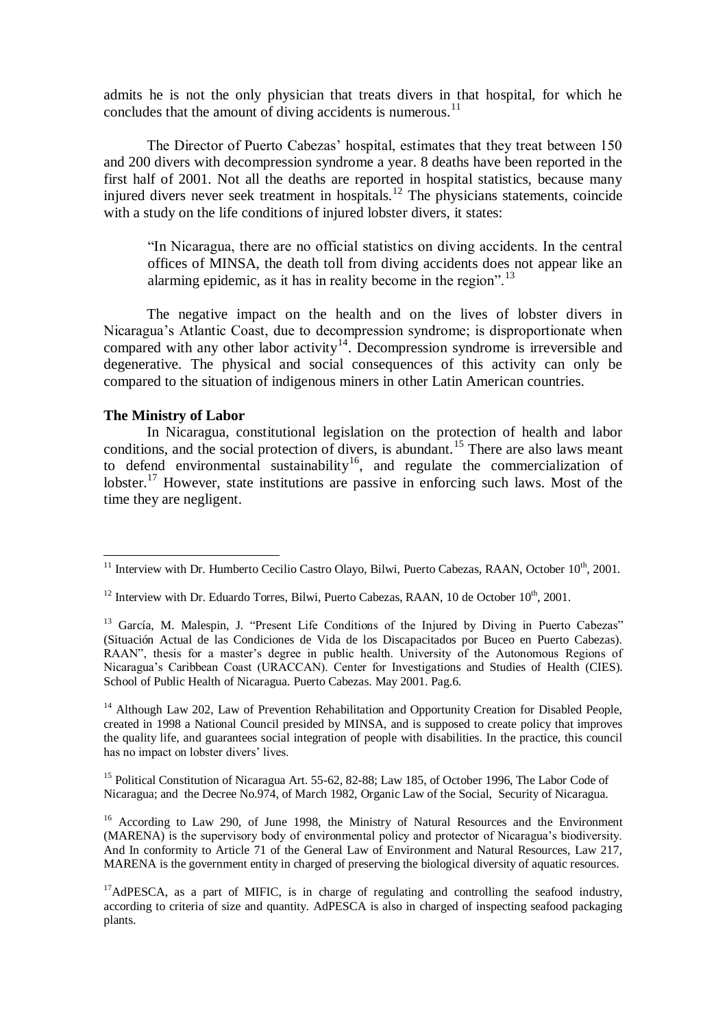admits he is not the only physician that treats divers in that hospital, for which he concludes that the amount of diving accidents is numerous.<sup>11</sup>

The Director of Puerto Cabezas' hospital, estimates that they treat between 150 and 200 divers with decompression syndrome a year. 8 deaths have been reported in the first half of 2001. Not all the deaths are reported in hospital statistics, because many injured divers never seek treatment in hospitals.<sup>12</sup> The physicians statements, coincide with a study on the life conditions of injured lobster divers, it states:

"In Nicaragua, there are no official statistics on diving accidents. In the central offices of MINSA, the death toll from diving accidents does not appear like an alarming epidemic, as it has in reality become in the region".<sup>13</sup>

The negative impact on the health and on the lives of lobster divers in Nicaragua"s Atlantic Coast, due to decompression syndrome; is disproportionate when compared with any other labor activity<sup>14</sup>. Decompression syndrome is irreversible and degenerative. The physical and social consequences of this activity can only be compared to the situation of indigenous miners in other Latin American countries.

### **The Ministry of Labor**

 $\overline{a}$ 

In Nicaragua, constitutional legislation on the protection of health and labor conditions, and the social protection of divers, is abundant.<sup>15</sup> There are also laws meant to defend environmental sustainability<sup>16</sup>, and regulate the commercialization of lobster.<sup>17</sup> However, state institutions are passive in enforcing such laws. Most of the time they are negligent.

<sup>14</sup> Although Law 202, Law of Prevention Rehabilitation and Opportunity Creation for Disabled People, created in 1998 a National Council presided by MINSA, and is supposed to create policy that improves the quality life, and guarantees social integration of people with disabilities. In the practice, this council has no impact on lobster divers' lives.

<sup>15</sup> Political Constitution of Nicaragua Art. 55-62, 82-88; Law 185, of October 1996, The Labor Code of Nicaragua; and the Decree No.974, of March 1982, Organic Law of the Social, Security of Nicaragua.

<sup>16</sup> According to Law 290, of June 1998, the Ministry of Natural Resources and the Environment (MARENA) is the supervisory body of environmental policy and protector of Nicaragua"s biodiversity. And In conformity to Article 71 of the General Law of Environment and Natural Resources, Law 217, MARENA is the government entity in charged of preserving the biological diversity of aquatic resources.

 $17$ AdPESCA, as a part of MIFIC, is in charge of regulating and controlling the seafood industry, according to criteria of size and quantity. AdPESCA is also in charged of inspecting seafood packaging plants.

 $11$  Interview with Dr. Humberto Cecilio Castro Olayo, Bilwi, Puerto Cabezas, RAAN, October  $10<sup>th</sup>$ , 2001.

 $12$  Interview with Dr. Eduardo Torres, Bilwi, Puerto Cabezas, RAAN, 10 de October  $10^{th}$ , 2001.

<sup>&</sup>lt;sup>13</sup> García, M. Malespin, J. "Present Life Conditions of the Injured by Diving in Puerto Cabezas" (Situación Actual de las Condiciones de Vida de los Discapacitados por Buceo en Puerto Cabezas). RAAN", thesis for a master's degree in public health. University of the Autonomous Regions of Nicaragua"s Caribbean Coast (URACCAN). Center for Investigations and Studies of Health (CIES). School of Public Health of Nicaragua. Puerto Cabezas. May 2001. Pag.6.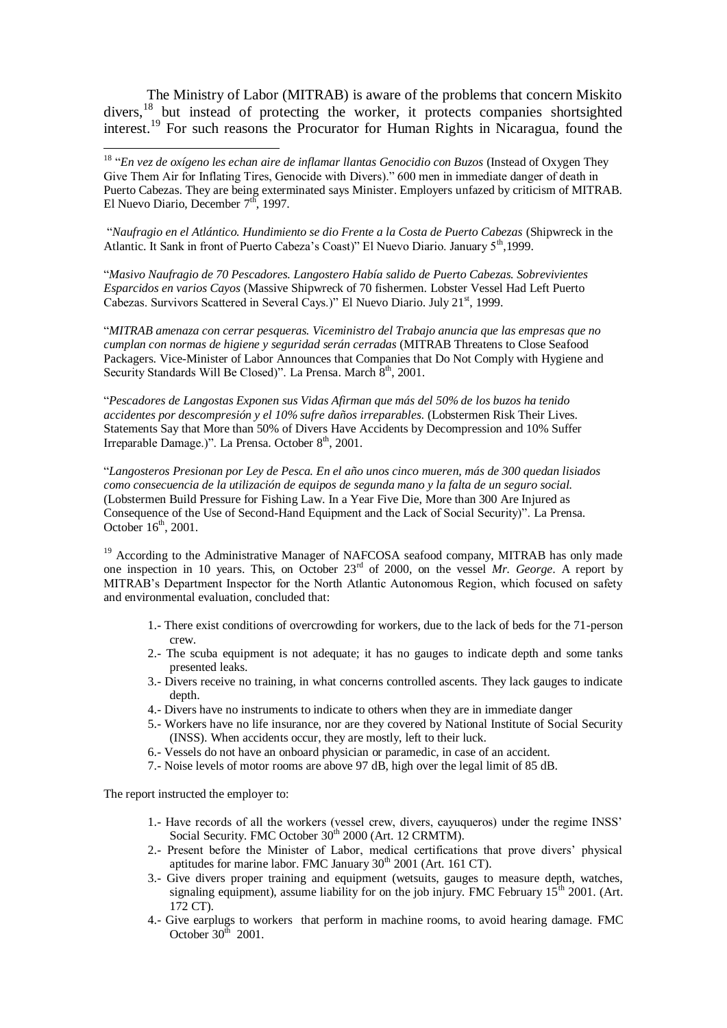The Ministry of Labor (MITRAB) is aware of the problems that concern Miskito divers,<sup>18</sup> but instead of protecting the worker, it protects companies shortsighted interest.<sup>19</sup> For such reasons the Procurator for Human Rights in Nicaragua, found the

<sup>18</sup> "En vez de oxígeno les echan aire de inflamar llantas Genocidio con Buzos (Instead of Oxygen They Give Them Air for Inflating Tires, Genocide with Divers)." 600 men in immediate danger of death in Puerto Cabezas. They are being exterminated says Minister. Employers unfazed by criticism of MITRAB. El Nuevo Diario, December 7<sup>th</sup>, 1997.

"*Naufragio en el Atlántico. Hundimiento se dio Frente a la Costa de Puerto Cabezas* (Shipwreck in the Atlantic. It Sank in front of Puerto Cabeza's Coast)" El Nuevo Diario. January 5<sup>th</sup>,1999.

"*Masivo Naufragio de 70 Pescadores. Langostero Había salido de Puerto Cabezas. Sobrevivientes Esparcidos en varios Cayos* (Massive Shipwreck of 70 fishermen. Lobster Vessel Had Left Puerto Cabezas. Survivors Scattered in Several Cays.)" El Nuevo Diario. July 21<sup>st</sup>, 1999.

"*MITRAB amenaza con cerrar pesqueras. Viceministro del Trabajo anuncia que las empresas que no cumplan con normas de higiene y seguridad serán cerradas* (MITRAB Threatens to Close Seafood Packagers. Vice-Minister of Labor Announces that Companies that Do Not Comply with Hygiene and Security Standards Will Be Closed)". La Prensa. March  $8<sup>th</sup>$ , 2001.

"*Pescadores de Langostas Exponen sus Vidas Afirman que más del 50% de los buzos ha tenido accidentes por descompresión y el 10% sufre daños irreparables.* (Lobstermen Risk Their Lives. Statements Say that More than 50% of Divers Have Accidents by Decompression and 10% Suffer Irreparable Damage.)". La Prensa. October  $8<sup>th</sup>$ , 2001.

"*Langosteros Presionan por Ley de Pesca. En el año unos cinco mueren, más de 300 quedan lisiados como consecuencia de la utilización de equipos de segunda mano y la falta de un seguro social.* (Lobstermen Build Pressure for Fishing Law. In a Year Five Die, More than 300 Are Injured as Consequence of the Use of Second-Hand Equipment and the Lack of Social Security)". La Prensa. October  $16<sup>th</sup>$ , 2001.

<sup>19</sup> According to the Administrative Manager of NAFCOSA seafood company, MITRAB has only made one inspection in 10 years. This, on October 23rd of 2000, on the vessel *Mr. George*. A report by MITRAB"s Department Inspector for the North Atlantic Autonomous Region, which focused on safety and environmental evaluation, concluded that:

- 1.- There exist conditions of overcrowding for workers, due to the lack of beds for the 71-person crew.
- 2.- The scuba equipment is not adequate; it has no gauges to indicate depth and some tanks presented leaks.
- 3.- Divers receive no training, in what concerns controlled ascents. They lack gauges to indicate depth.
- 4.- Divers have no instruments to indicate to others when they are in immediate danger
- 5.- Workers have no life insurance, nor are they covered by National Institute of Social Security (INSS). When accidents occur, they are mostly, left to their luck.
- 6.- Vessels do not have an onboard physician or paramedic, in case of an accident.
- 7.- Noise levels of motor rooms are above 97 dB, high over the legal limit of 85 dB.

The report instructed the employer to:

 $\overline{a}$ 

- 1.- Have records of all the workers (vessel crew, divers, cayuqueros) under the regime INSS" Social Security. FMC October 30<sup>th</sup> 2000 (Art. 12 CRMTM).
- 2.- Present before the Minister of Labor, medical certifications that prove divers" physical aptitudes for marine labor. FMC January 30<sup>th</sup> 2001 (Art. 161 CT).
- 3.- Give divers proper training and equipment (wetsuits, gauges to measure depth, watches, signaling equipment), assume liability for on the job injury. FMC February  $15<sup>th</sup>$  2001. (Art. 172 CT).
- 4.- Give earplugs to workers that perform in machine rooms, to avoid hearing damage. FMC October  $30^{\text{th}}$  2001.